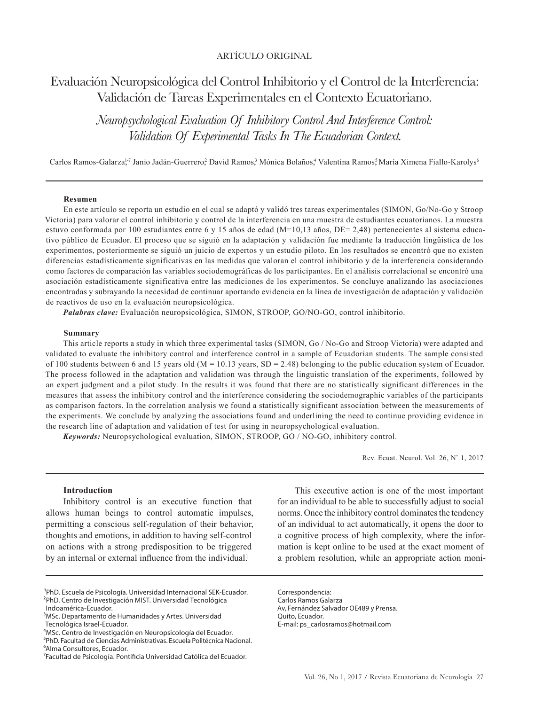# ARTÍCULO ORIGINAL

# Evaluación Neuropsicológica del Control Inhibitorio y el Control de la Interferencia: Validación de Tareas Experimentales en el Contexto Ecuatoriano.

*Neuropsychological Evaluation Of Inhibitory Control And Interference Control: Validation Of Experimental Tasks In The Ecuadorian Context.*

Carlos Ramos-Galarza<sup>l-7</sup> Janio Jadán-Guerrero? David Ramos,<sup>3</sup> Mónica Bolaños,<sup>4</sup> Valentina Ramos,<sup>5</sup>María Ximena Fiallo-Karolys<sup>6</sup>

#### **Resumen**

En este artículo se reporta un estudio en el cual se adaptó y validó tres tareas experimentales (SIMON, Go/No-Go y Stroop Victoria) para valorar el control inhibitorio y control de la interferencia en una muestra de estudiantes ecuatorianos. La muestra estuvo conformada por 100 estudiantes entre 6 y 15 años de edad ( $M=10,13$  años,  $DE=2,48$ ) pertenecientes al sistema educativo público de Ecuador. El proceso que se siguió en la adaptación y validación fue mediante la traducción lingüística de los experimentos, posteriormente se siguió un juicio de expertos y un estudio piloto. En los resultados se encontró que no existen diferencias estadísticamente significativas en las medidas que valoran el control inhibitorio y de la interferencia considerando como factores de comparación las variables sociodemográficas de los participantes. En el análisis correlacional se encontró una asociación estadísticamente significativa entre las mediciones de los experimentos. Se concluye analizando las asociaciones encontradas y subrayando la necesidad de continuar aportando evidencia en la línea de investigación de adaptación y validación de reactivos de uso en la evaluación neuropsicológica.

*Palabras clave:* Evaluación neuropsicológica, SIMON, STROOP, GO/NO-GO, control inhibitorio.

#### **Summary**

This article reports a study in which three experimental tasks (SIMON, Go / No-Go and Stroop Victoria) were adapted and validated to evaluate the inhibitory control and interference control in a sample of Ecuadorian students. The sample consisted of 100 students between 6 and 15 years old  $(M = 10.13$  years,  $SD = 2.48$ ) belonging to the public education system of Ecuador. The process followed in the adaptation and validation was through the linguistic translation of the experiments, followed by an expert judgment and a pilot study. In the results it was found that there are no statistically significant differences in the measures that assess the inhibitory control and the interference considering the sociodemographic variables of the participants as comparison factors. In the correlation analysis we found a statistically significant association between the measurements of the experiments. We conclude by analyzing the associations found and underlining the need to continue providing evidence in the research line of adaptation and validation of test for using in neuropsychological evaluation.

*Keywords:* Neuropsychological evaluation, SIMON, STROOP, GO / NO-GO, inhibitory control.

Rev. Ecuat. Neurol. Vol. 26, Nº 1, 2017

#### **Introduction**

Inhibitory control is an executive function that allows human beings to control automatic impulses, permitting a conscious self-regulation of their behavior, thoughts and emotions, in addition to having self-control on actions with a strong predisposition to be triggered by an internal or external influence from the individual!

⁴MSc. Centro de Investigación en Neuropsicología del Ecuador.

<sup>5</sup>PhD. Facultad de Ciencias Administrativas. Escuela Politécnica Nacional. <sup>6</sup>Alma Consultores, Ecuador.

This executive action is one of the most important for an individual to be able to successfully adjust to social norms. Once the inhibitory control dominates the tendency of an individual to act automatically, it opens the door to a cognitive process of high complexity, where the information is kept online to be used at the exact moment of a problem resolution, while an appropriate action moni-

Correspondencia: Carlos Ramos Galarza Av, Fernández Salvador OE489 y Prensa. Quito, Ecuador. E-mail: ps\_carlosramos@hotmail.com

<sup>1</sup>PhD. Escuela de Psicología. Universidad Internacional SEK-Ecuador. 2PhD. Centro de Investigación MIST. Universidad Tecnológica

Indoamérica-Ecuador.

<sup>&</sup>lt;sup>3</sup>MSc. Departamento de Humanidades y Artes. Universidad Tecnológica Israel-Ecuador.

⁷Facultad de Psicología. Pontificia Universidad Católica del Ecuador.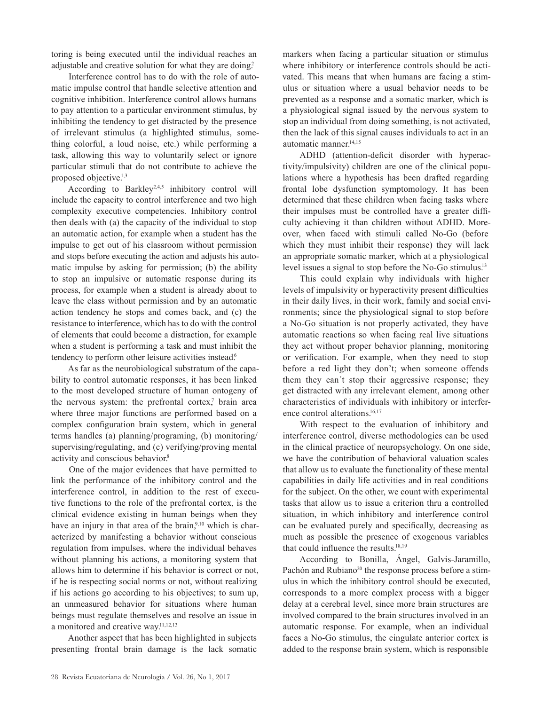toring is being executed until the individual reaches an adjustable and creative solution for what they are doing?

Interference control has to do with the role of automatic impulse control that handle selective attention and cognitive inhibition. Interference control allows humans to pay attention to a particular environment stimulus, by inhibiting the tendency to get distracted by the presence of irrelevant stimulus (a highlighted stimulus, something colorful, a loud noise, etc.) while performing a task, allowing this way to voluntarily select or ignore particular stimuli that do not contribute to achieve the proposed objective.<sup>1,3</sup>

According to Barkley<sup>2,4,5</sup> inhibitory control will include the capacity to control interference and two high complexity executive competencies. Inhibitory control then deals with (a) the capacity of the individual to stop an automatic action, for example when a student has the impulse to get out of his classroom without permission and stops before executing the action and adjusts his automatic impulse by asking for permission; (b) the ability to stop an impulsive or automatic response during its process, for example when a student is already about to leave the class without permission and by an automatic action tendency he stops and comes back, and (c) the resistance to interference, which has to do with the control of elements that could become a distraction, for example when a student is performing a task and must inhibit the tendency to perform other leisure activities instead.<sup>6</sup>

As far as the neurobiological substratum of the capability to control automatic responses, it has been linked to the most developed structure of human ontogeny of the nervous system: the prefrontal cortex, $\eta$  brain area where three major functions are performed based on a complex configuration brain system, which in general terms handles (a) planning/programing, (b) monitoring/ supervising/regulating, and (c) verifying/proving mental activity and conscious behavior.<sup>8</sup>

One of the major evidences that have permitted to link the performance of the inhibitory control and the interference control, in addition to the rest of executive functions to the role of the prefrontal cortex, is the clinical evidence existing in human beings when they have an injury in that area of the brain, $9,10$  which is characterized by manifesting a behavior without conscious regulation from impulses, where the individual behaves without planning his actions, a monitoring system that allows him to determine if his behavior is correct or not, if he is respecting social norms or not, without realizing if his actions go according to his objectives; to sum up, an unmeasured behavior for situations where human beings must regulate themselves and resolve an issue in a monitored and creative way.<sup>11,12,13</sup>

Another aspect that has been highlighted in subjects presenting frontal brain damage is the lack somatic

markers when facing a particular situation or stimulus where inhibitory or interference controls should be activated. This means that when humans are facing a stimulus or situation where a usual behavior needs to be prevented as a response and a somatic marker, which is a physiological signal issued by the nervous system to stop an individual from doing something, is not activated, then the lack of this signal causes individuals to act in an automatic manner.14,15

ADHD (attention-deficit disorder with hyperactivity/impulsivity) children are one of the clinical populations where a hypothesis has been drafted regarding frontal lobe dysfunction symptomology. It has been determined that these children when facing tasks where their impulses must be controlled have a greater difficulty achieving it than children without ADHD. Moreover, when faced with stimuli called No-Go (before which they must inhibit their response) they will lack an appropriate somatic marker, which at a physiological level issues a signal to stop before the No-Go stimulus.<sup>13</sup>

This could explain why individuals with higher levels of impulsivity or hyperactivity present difficulties in their daily lives, in their work, family and social environments; since the physiological signal to stop before a No-Go situation is not properly activated, they have automatic reactions so when facing real live situations they act without proper behavior planning, monitoring or verification. For example, when they need to stop before a red light they don't; when someone offends them they can´t stop their aggressive response; they get distracted with any irrelevant element, among other characteristics of individuals with inhibitory or interference control alterations.<sup>16,17</sup>

With respect to the evaluation of inhibitory and interference control, diverse methodologies can be used in the clinical practice of neuropsychology. On one side, we have the contribution of behavioral valuation scales that allow us to evaluate the functionality of these mental capabilities in daily life activities and in real conditions for the subject. On the other, we count with experimental tasks that allow us to issue a criterion thru a controlled situation, in which inhibitory and interference control can be evaluated purely and specifically, decreasing as much as possible the presence of exogenous variables that could influence the results.<sup>18,19</sup>

According to Bonilla, Ángel, Galvis-Jaramillo, Pachón and Rubiano<sup>20</sup> the response process before a stimulus in which the inhibitory control should be executed, corresponds to a more complex process with a bigger delay at a cerebral level, since more brain structures are involved compared to the brain structures involved in an automatic response. For example, when an individual faces a No-Go stimulus, the cingulate anterior cortex is added to the response brain system, which is responsible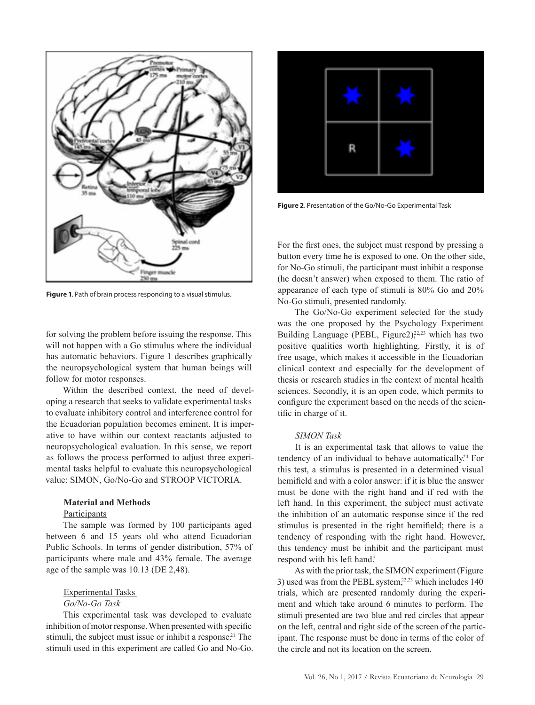

**Figure 1**. Path of brain process responding to a visual stimulus.

for solving the problem before issuing the response. This will not happen with a Go stimulus where the individual has automatic behaviors. Figure 1 describes graphically the neuropsychological system that human beings will follow for motor responses.

Within the described context, the need of developing a research that seeks to validate experimental tasks to evaluate inhibitory control and interference control for the Ecuadorian population becomes eminent. It is imperative to have within our context reactants adjusted to neuropsychological evaluation. In this sense, we report as follows the process performed to adjust three experimental tasks helpful to evaluate this neuropsychological value: SIMON, Go/No-Go and STROOP VICTORIA.

#### **Material and Methods**

### **Participants**

The sample was formed by 100 participants aged between 6 and 15 years old who attend Ecuadorian Public Schools. In terms of gender distribution, 57% of participants where male and 43% female. The average age of the sample was 10.13 (DE 2,48).

#### Experimental Tasks

#### *Go/No-Go Task*

This experimental task was developed to evaluate inhibition of motor response. When presented with specific stimuli, the subject must issue or inhibit a response.<sup>21</sup> The stimuli used in this experiment are called Go and No-Go.



**Figure 2**. Presentation of the Go/No-Go Experimental Task

For the first ones, the subject must respond by pressing a button every time he is exposed to one. On the other side, for No-Go stimuli, the participant must inhibit a response (he doesn't answer) when exposed to them. The ratio of appearance of each type of stimuli is 80% Go and 20% No-Go stimuli, presented randomly.

The Go/No-Go experiment selected for the study was the one proposed by the Psychology Experiment Building Language (PEBL, Figure2),<sup>22,23</sup> which has two positive qualities worth highlighting. Firstly, it is of free usage, which makes it accessible in the Ecuadorian clinical context and especially for the development of thesis or research studies in the context of mental health sciences. Secondly, it is an open code, which permits to configure the experiment based on the needs of the scientific in charge of it.

#### *SIMON Task*

It is an experimental task that allows to value the tendency of an individual to behave automatically.<sup>24</sup> For this test, a stimulus is presented in a determined visual hemifield and with a color answer: if it is blue the answer must be done with the right hand and if red with the left hand. In this experiment, the subject must activate the inhibition of an automatic response since if the red stimulus is presented in the right hemifield; there is a tendency of responding with the right hand. However, this tendency must be inhibit and the participant must respond with his left hand.<sup>5</sup>

As with the prior task, the SIMON experiment (Figure 3) used was from the PEBL system, $22,23$  which includes 140 trials, which are presented randomly during the experiment and which take around 6 minutes to perform. The stimuli presented are two blue and red circles that appear on the left, central and right side of the screen of the participant. The response must be done in terms of the color of the circle and not its location on the screen.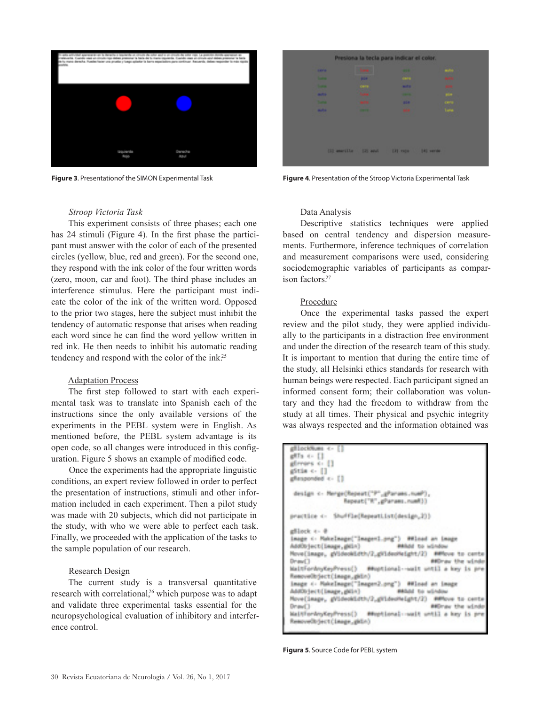

|                 |                        | Presiona la tecla para indicar el color. |                               |  |
|-----------------|------------------------|------------------------------------------|-------------------------------|--|
| <b>SECU</b>     | m.                     |                                          | and the second<br><b>AGES</b> |  |
| <b>Service</b>  | <b>MH</b>              | <b>COMPA</b>                             | <b>MAG</b>                    |  |
| ー               | <b>GETS</b>            | <b>SILE</b>                              |                               |  |
| <b>ALC UNIT</b> | <b>Senior</b>          | -                                        | play.                         |  |
| <b>Talk of</b>  |                        | <b>Bill</b>                              | sere<br>Tana                  |  |
| <b>ALC:</b>     | -                      | <b>MA</b>                                |                               |  |
|                 |                        |                                          | mark of                       |  |
|                 |                        |                                          |                               |  |
|                 |                        |                                          |                               |  |
|                 | [1] searching [2] soul | <b>EH. raja</b>                          | 140 verde                     |  |
|                 |                        |                                          |                               |  |

**Figure 3**. Presentationof the SIMON Experimental Task **Figure 4**. Presentation of the Stroop Victoria Experimental Task

#### *Stroop Victoria Task*

This experiment consists of three phases; each one has 24 stimuli (Figure 4). In the first phase the participant must answer with the color of each of the presented circles (yellow, blue, red and green). For the second one, they respond with the ink color of the four written words (zero, moon, car and foot). The third phase includes an interference stimulus. Here the participant must indicate the color of the ink of the written word. Opposed to the prior two stages, here the subject must inhibit the tendency of automatic response that arises when reading each word since he can find the word yellow written in red ink. He then needs to inhibit his automatic reading tendency and respond with the color of the ink.25

#### Adaptation Process

The first step followed to start with each experimental task was to translate into Spanish each of the instructions since the only available versions of the experiments in the PEBL system were in English. As mentioned before, the PEBL system advantage is its open code, so all changes were introduced in this configuration. Figure 5 shows an example of modified code.

Once the experiments had the appropriate linguistic conditions, an expert review followed in order to perfect the presentation of instructions, stimuli and other information included in each experiment. Then a pilot study was made with 20 subjects, which did not participate in the study, with who we were able to perfect each task. Finally, we proceeded with the application of the tasks to the sample population of our research.

### Research Design

The current study is a transversal quantitative research with correlational,<sup>26</sup> which purpose was to adapt and validate three experimental tasks essential for the neuropsychological evaluation of inhibitory and interference control.

#### Data Analysis

Descriptive statistics techniques were applied based on central tendency and dispersion measurements. Furthermore, inference techniques of correlation and measurement comparisons were used, considering sociodemographic variables of participants as comparison factors<sup>27</sup>

#### Procedure

Once the experimental tasks passed the expert review and the pilot study, they were applied individually to the participants in a distraction free environment and under the direction of the research team of this study. It is important to mention that during the entire time of the study, all Helsinki ethics standards for research with human beings were respected. Each participant signed an informed consent form; their collaboration was voluntary and they had the freedom to withdraw from the study at all times. Their physical and psychic integrity was always respected and the information obtained was

| gillockNum << El                                                                   |
|------------------------------------------------------------------------------------|
| gilla de []                                                                        |
| gleners o []                                                                       |
| afette c. 11                                                                       |
| glianponded c- []                                                                  |
|                                                                                    |
| design <- Merge(Repeat("P",gParams.numP),<br>Repeat: "R", phanass, numE33          |
| practice <= Shuffle(RepeatList(design_2))                                          |
| glilock + #                                                                        |
| image <- Makelmage("Image=1.ong") ##Inad an image                                  |
| Additivjecti (Sange, ghile)<br><b>BASE to admine</b>                               |
| Move(jasge, gVideoWidth/2_gVideoMeight/2) MMMove to cente                          |
| <b>BECAUSE 1000 Includes</b><br>Dream 1                                            |
| MaitfordnyCeyPress() ##uptional-muit until a key is pre                            |
| RemoveDbjectClnege_gkDn)                                                           |
| Inage (- MakeInage("Inagen2.png") ##Inad an inage                                  |
| Additivised to Lauge , girlin)<br>stabled the selections                           |
| Nove(image, gVideokLdth/2_gVideoNeight/2) ##Move to cente                          |
|                                                                                    |
| <b>Drawn</b> 1<br><b>ABDIVANT UNK WEINBO</b>                                       |
| MaitfordnyCeyPress() #Moptional-walt until a key is pre<br>Resove@dectCleage_gkle3 |
|                                                                                    |

**Figura 5**. Source Code for PEBL system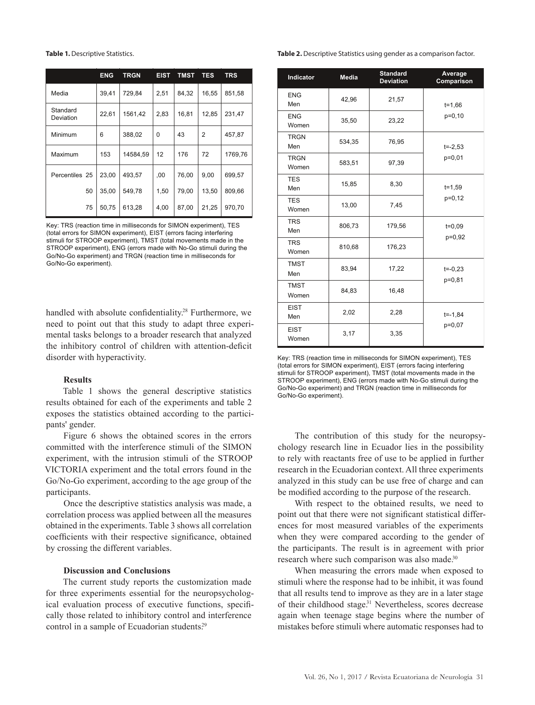|                       | <b>ENG</b> | <b>TRGN</b> | <b>EIST</b> | <b>TMST</b> | TES            | <b>TRS</b> |
|-----------------------|------------|-------------|-------------|-------------|----------------|------------|
| Media                 | 39,41      | 729,84      |             | 84,32       | 16,55          | 851,58     |
| Standard<br>Deviation | 22,61      | 1561,42     | 2,83        | 16,81       | 12,85          | 231,47     |
| Minimum               | 6          | 388,02      | $\Omega$    | 43          | $\overline{2}$ | 457,87     |
| Maximum               | 153        | 14584,59    | 12          | 176         | 72             | 1769,76    |
| Percentiles 25        | 23,00      | 493,57      | 00,         | 76,00       | 9,00           | 699,57     |
| 50                    | 35,00      | 549,78      | 1,50        | 79,00       | 13,50          | 809,66     |
| 75                    | 50,75      | 613,28      | 4,00        | 87,00       | 21,25          | 970.70     |

Key: TRS (reaction time in milliseconds for SIMON experiment), TES (total errors for SIMON experiment), EIST (errors facing interfering stimuli for STROOP experiment), TMST (total movements made in the STROOP experiment), ENG (errors made with No-Go stimuli during the Go/No-Go experiment) and TRGN (reaction time in milliseconds for Go/No-Go experiment).

handled with absolute confidentiality.<sup>28</sup> Furthermore, we need to point out that this study to adapt three experimental tasks belongs to a broader research that analyzed the inhibitory control of children with attention-deficit disorder with hyperactivity.

#### **Results**

Table 1 shows the general descriptive statistics results obtained for each of the experiments and table 2 exposes the statistics obtained according to the participants' gender.

Figure 6 shows the obtained scores in the errors committed with the interference stimuli of the SIMON experiment, with the intrusion stimuli of the STROOP VICTORIA experiment and the total errors found in the Go/No-Go experiment, according to the age group of the participants.

Once the descriptive statistics analysis was made, a correlation process was applied between all the measures obtained in the experiments. Table 3 shows all correlation coefficients with their respective significance, obtained by crossing the different variables.

#### **Discussion and Conclusions**

The current study reports the customization made for three experiments essential for the neuropsychological evaluation process of executive functions, specifically those related to inhibitory control and interference control in a sample of Ecuadorian students.<sup>29</sup>

#### **Table 1.** Descriptive Statistics. **Table 2.** Descriptive Statistics using gender as a comparison factor.

| Indicator            | <b>Media</b>    | <b>Standard</b><br><b>Deviation</b> | Average<br>Comparison |  |
|----------------------|-----------------|-------------------------------------|-----------------------|--|
| <b>ENG</b><br>Men    | 42,96           | 21,57                               | $t = 1,66$            |  |
| <b>ENG</b><br>Women  | 35,50           | 23,22                               | p=0,10                |  |
| <b>TRGN</b><br>Men   | 534,35<br>76,95 |                                     | $t = -2,53$           |  |
| <b>TRGN</b><br>Women | 583,51          | 97,39                               | $p=0,01$              |  |
| <b>TES</b><br>Men    | 15,85           | 8,30                                | $t = 1,59$            |  |
| <b>TES</b><br>Women  | 13,00           | 7,45                                | $p=0,12$              |  |
| <b>TRS</b><br>Men    | 806,73          | 179,56                              | $t = 0,09$            |  |
| <b>TRS</b><br>Women  | 810,68          | 176,23                              | p=0,92                |  |
| <b>TMST</b><br>Men   | 83,94           | 17,22                               | $t = -0.23$           |  |
| <b>TMST</b><br>Women | 84,83           | 16,48                               | $p=0,81$              |  |
| <b>EIST</b><br>Men   | 2,02            | 2,28                                | $t = -1,84$           |  |
| <b>EIST</b><br>Women | 3,17            | 3,35                                | p=0,07                |  |

Key: TRS (reaction time in milliseconds for SIMON experiment), TES (total errors for SIMON experiment), EIST (errors facing interfering stimuli for STROOP experiment), TMST (total movements made in the STROOP experiment), ENG (errors made with No-Go stimuli during the Go/No-Go experiment) and TRGN (reaction time in milliseconds for Go/No-Go experiment).

The contribution of this study for the neuropsychology research line in Ecuador lies in the possibility to rely with reactants free of use to be applied in further research in the Ecuadorian context. All three experiments analyzed in this study can be use free of charge and can be modified according to the purpose of the research.

With respect to the obtained results, we need to point out that there were not significant statistical differences for most measured variables of the experiments when they were compared according to the gender of the participants. The result is in agreement with prior research where such comparison was also made.<sup>30</sup>

When measuring the errors made when exposed to stimuli where the response had to be inhibit, it was found that all results tend to improve as they are in a later stage of their childhood stage.<sup>31</sup> Nevertheless, scores decrease again when teenage stage begins where the number of mistakes before stimuli where automatic responses had to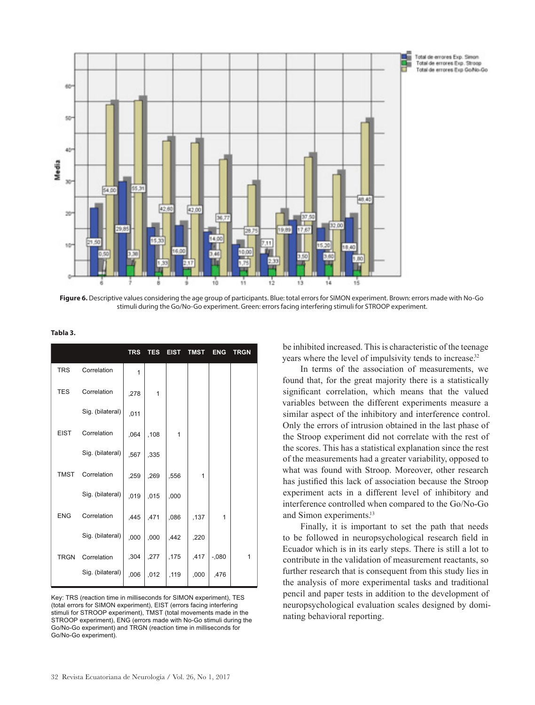

Figure 6. Descriptive values considering the age group of participants. Blue: total errors for SIMON experiment. Brown: errors made with No-Go stimuli during the Go/No-Go experiment. Green: errors facing interfering stimuli for STROOP experiment.

| Tabla<br>- |  |
|------------|--|
|------------|--|

|             |                  | <b>TRS</b> | <b>TES</b> | <b>EIST</b> | <b>TMST</b> | <b>ENG</b> | <b>TRGN</b> |
|-------------|------------------|------------|------------|-------------|-------------|------------|-------------|
| <b>TRS</b>  | Correlation      | 1          |            |             |             |            |             |
| <b>TES</b>  | Correlation      | ,278       | 1          |             |             |            |             |
|             | Sig. (bilateral) | ,011       |            |             |             |            |             |
| <b>EIST</b> | Correlation      | ,064       | ,108       | 1           |             |            |             |
|             | Sig. (bilateral) | ,567       | ,335       |             |             |            |             |
| <b>TMST</b> | Correlation      | ,259       | ,269       | ,556        | 1           |            |             |
|             | Sig. (bilateral) | ,019       | ,015       | ,000        |             |            |             |
| <b>ENG</b>  | Correlation      | ,445       | ,471       | ,086        | ,137        | 1          |             |
|             | Sig. (bilateral) | ,000       | ,000       | ,442        | ,220        |            |             |
| <b>TRGN</b> | Correlation      | ,304       | ,277       | ,175        | ,417        | $-0.080$   | 1           |
|             | Sig. (bilateral) | ,006       | ,012       | ,119        | ,000        | ,476       |             |

Key: TRS (reaction time in milliseconds for SIMON experiment), TES (total errors for SIMON experiment), EIST (errors facing interfering stimuli for STROOP experiment), TMST (total movements made in the STROOP experiment), ENG (errors made with No-Go stimuli during the Go/No-Go experiment) and TRGN (reaction time in milliseconds for Go/No-Go experiment).

be inhibited increased. This is characteristic of the teenage years where the level of impulsivity tends to increase.<sup>32</sup>

In terms of the association of measurements, we found that, for the great majority there is a statistically significant correlation, which means that the valued variables between the different experiments measure a similar aspect of the inhibitory and interference control. Only the errors of intrusion obtained in the last phase of the Stroop experiment did not correlate with the rest of the scores. This has a statistical explanation since the rest of the measurements had a greater variability, opposed to what was found with Stroop. Moreover, other research has justified this lack of association because the Stroop experiment acts in a different level of inhibitory and interference controlled when compared to the Go/No-Go and Simon experiments.<sup>13</sup>

Finally, it is important to set the path that needs to be followed in neuropsychological research field in Ecuador which is in its early steps. There is still a lot to contribute in the validation of measurement reactants, so further research that is consequent from this study lies in the analysis of more experimental tasks and traditional pencil and paper tests in addition to the development of neuropsychological evaluation scales designed by dominating behavioral reporting.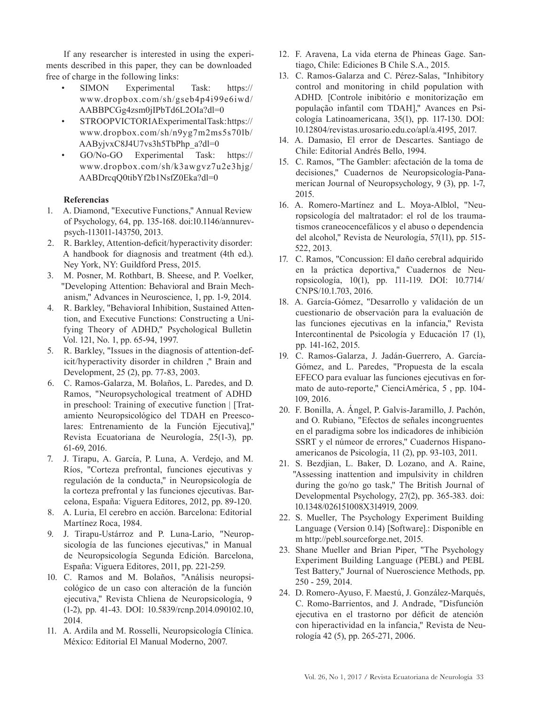If any researcher is interested in using the experiments described in this paper, they can be downloaded free of charge in the following links:

- SIMON Experimental Task: https:// www.dropbox.com/sh/gseb4p4i99e6iwd/ AABBPCGg4zsm0jIPbTd6L2OIa?dl=0
- STROOP VICTORIA Experimental Task: https:// www.dropbox.com/sh/n9yg7m2ms5s70lb/ AAByjvxC8J4U7vs3h5TbPhp\_a?dl=0
- GO/No-GO Experimental Task: https:// www.dropbox.com/sh/k3awgvz7u2e3hjg/ AABDrcqQ0tibYf2b1NsfZ0Eka?dl=0

## **Referencias**

- 1. A. Diamond, "Executive Functions," Annual Review of Psychology, 64, pp. 135-168. doi:10.1146/annurevpsych-113011-143750, 2013.
- 2. R. Barkley, Attention-deficit/hyperactivity disorder: A handbook for diagnosis and treatment (4th ed.). Ney York, NY: Guildford Press, 2015.
- 3. M. Posner, M. Rothbart, B. Sheese, and P. Voelker, "Developing Attention: Behavioral and Brain Mechanism," Advances in Neuroscience, 1, pp. 1-9, 2014.
- 4. R. Barkley, "Behavioral Inhibition, Sustained Attention, and Executive Functions: Constructing a Unifying Theory of ADHD," Psychological Bulletin Vol. 121, No. 1, pp. 65-94, 1997.
- 5. R. Barkley, "Issues in the diagnosis of attention-deficit/hyperactivity disorder in children ," Brain and Development, 25 (2), pp. 77-83, 2003.
- 6. C. Ramos-Galarza, M. Bolaños, L. Paredes, and D. Ramos, "Neuropsychological treatment of ADHD in preschool: Training of executive function | [Tratamiento Neuropsicológico del TDAH en Preescolares: Entrenamiento de la Función Ejecutiva]," Revista Ecuatoriana de Neurología, 25(1-3), pp. 61-69, 2016.
- 7. J. Tirapu, A. García, P. Luna, A. Verdejo, and M. Ríos, "Corteza prefrontal, funciones ejecutivas y regulación de la conducta," in Neuropsicología de la corteza prefrontal y las funciones ejecutivas. Barcelona, España: Viguera Editores, 2012, pp. 89-120.
- 8. A. Luria, El cerebro en acción. Barcelona: Editorial Martínez Roca, 1984.
- 9. J. Tirapu-Ustárroz and P. Luna-Lario, "Neuropsicología de las funciones ejecutivas," in Manual de Neuropsicología Segunda Edición. Barcelona, España: Viguera Editores, 2011, pp. 221-259.
- 10. C. Ramos and M. Bolaños, "Análisis neuropsicológico de un caso con alteración de la función ejecutiva," Revista Chliena de Neuropsicología, 9 (1-2), pp. 41-43. DOI: 10.5839/rcnp.2014.090102.10, 2014.
- 11. A. Ardila and M. Rosselli, Neuropsicología Clínica. México: Editorial El Manual Moderno, 2007.
- 12. F. Aravena, La vida eterna de Phineas Gage. Santiago, Chile: Ediciones B Chile S.A., 2015.
- 13. C. Ramos-Galarza and C. Pérez-Salas, "Inhibitory control and monitoring in child population with ADHD. [Controle inibitório e monitorização em população infantil com TDAH]," Avances en Psicología Latinoamericana, 35(1), pp. 117-130. DOI: 10.12804/revistas.urosario.edu.co/apl/a.4195, 2017.
- 14. A. Damasio, El error de Descartes. Santiago de Chile: Editorial Andrés Bello, 1994.
- 15. C. Ramos, "The Gambler: afectación de la toma de decisiones," Cuadernos de Neuropsicología-Panamerican Journal of Neuropsychology, 9 (3), pp. 1-7, 2015.
- 16. A. Romero-Martínez and L. Moya-Alblol, "Neuropsicología del maltratador: el rol de los traumatismos craneocencefálicos y el abuso o dependencia del alcohol," Revista de Neurología, 57(11), pp. 515- 522, 2013.
- 17. C. Ramos, "Concussion: El daño cerebral adquirido en la práctica deportiva," Cuadernos de Neuropsicología, 10(1), pp. 111-119. DOI: 10.7714/ CNPS/10.1.703, 2016.
- 18. A. García-Gómez, "Desarrollo y validación de un cuestionario de observación para la evaluación de las funciones ejecutivas en la infancia," Revista Intercontinental de Psicología y Educación 17 (1), pp. 141-162, 2015.
- 19. C. Ramos-Galarza, J. Jadán-Guerrero, A. García-Gómez, and L. Paredes, "Propuesta de la escala EFECO para evaluar las funciones ejecutivas en formato de auto-reporte," CienciAmérica, 5 , pp. 104- 109, 2016.
- 20. F. Bonilla, A. Ángel, P. Galvis-Jaramillo, J. Pachón, and O. Rubiano, "Efectos de señales incongruentes en el paradigma sobre los indicadores de inhibición SSRT y el númeor de errores," Cuadernos Hispanoamericanos de Psicología, 11 (2), pp. 93-103, 2011.
- 21. S. Bezdjian, L. Baker, D. Lozano, and A. Raine, "Assessing inattention and impulsivity in children during the go/no go task," The British Journal of Developmental Psychology, 27(2), pp. 365-383. doi: 10.1348/026151008X314919, 2009.
- 22. S. Mueller, The Psychology Experiment Building Language (Version 0.14) [Software].: Disponible en m http://pebl.sourceforge.net, 2015.
- 23. Shane Mueller and Brian Piper, "The Psychology Experiment Building Language (PEBL) and PEBL Test Battery," Journal of Nueroscience Methods, pp. 250 - 259, 2014.
- 24. D. Romero-Ayuso, F. Maestú, J. González-Marqués, C. Romo-Barrientos, and J. Andrade, "Disfunción ejecutiva en el trastorno por déficit de atención con hiperactividad en la infancia," Revista de Neurología 42 (5), pp. 265-271, 2006.